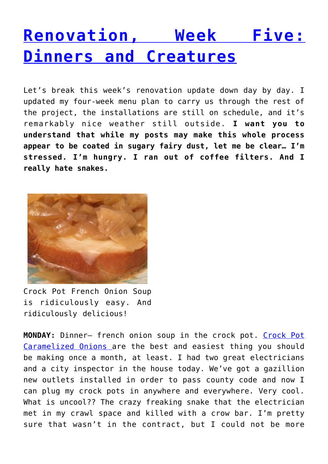## **[Renovation, Week Five:](http://dinnerisacrock.com/2016/01/01/renovation-week-five-dinners-and-creatures/) [Dinners and Creatures](http://dinnerisacrock.com/2016/01/01/renovation-week-five-dinners-and-creatures/)**

Let's break this week's renovation update down day by day. I updated my four-week menu plan to carry us through the rest of the project, the installations are still on schedule, and it's remarkably nice weather still outside. **I want you to understand that while my posts may make this whole process appear to be coated in sugary fairy dust, let me be clear… I'm stressed. I'm hungry. I ran out of coffee filters. And I really hate snakes.**



Crock Pot French Onion Soup is ridiculously easy. And ridiculously delicious!

**MONDAY:** Dinner– french onion soup in the crock pot. [Crock Pot](http://dinnerisacrock.com/2011/10/26/crock-pot-caramelized-onions/) [Caramelized Onions a](http://dinnerisacrock.com/2011/10/26/crock-pot-caramelized-onions/)re the best and easiest thing you should be making once a month, at least. I had two great electricians and a city inspector in the house today. We've got a gazillion new outlets installed in order to pass county code and now I can plug my crock pots in anywhere and everywhere. Very cool. What is uncool?? The crazy freaking snake that the electrician met in my crawl space and killed with a crow bar. I'm pretty sure that wasn't in the contract, but I could not be more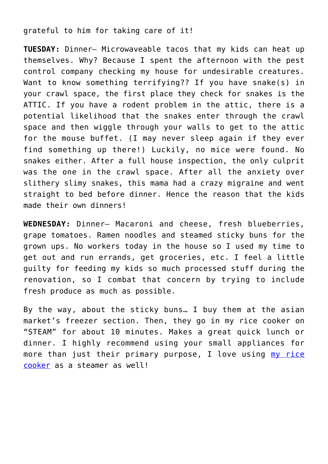grateful to him for taking care of it!

**TUESDAY:** Dinner– Microwaveable tacos that my kids can heat up themselves. Why? Because I spent the afternoon with the pest control company checking my house for undesirable creatures. Want to know something terrifying?? If you have snake(s) in your crawl space, the first place they check for snakes is the ATTIC. If you have a rodent problem in the attic, there is a potential likelihood that the snakes enter through the crawl space and then wiggle through your walls to get to the attic for the mouse buffet. (I may never sleep again if they ever find something up there!) Luckily, no mice were found. No snakes either. After a full house inspection, the only culprit was the one in the crawl space. After all the anxiety over slithery slimy snakes, this mama had a crazy migraine and went straight to bed before dinner. Hence the reason that the kids made their own dinners!

**WEDNESDAY:** Dinner– Macaroni and cheese, fresh blueberries, grape tomatoes. Ramen noodles and steamed sticky buns for the grown ups. No workers today in the house so I used my time to get out and run errands, get groceries, etc. I feel a little guilty for feeding my kids so much processed stuff during the renovation, so I combat that concern by trying to include fresh produce as much as possible.

By the way, about the sticky buns… I buy them at the asian market's freezer section. Then, they go in my rice cooker on "STEAM" for about 10 minutes. Makes a great quick lunch or dinner. I highly recommend using your small appliances for more than just their primary purpose, I love using [my rice](http://amzn.to/1ma8aVI) [cooker](http://amzn.to/1ma8aVI) as a steamer as well!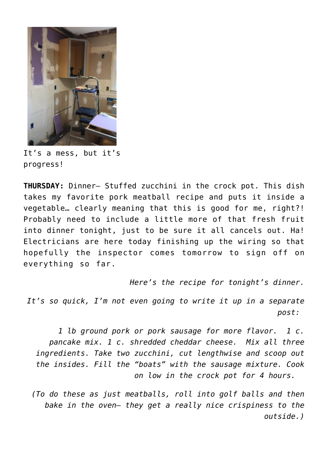

It's a mess, but it's progress!

**THURSDAY:** Dinner– Stuffed zucchini in the crock pot. This dish takes my favorite pork meatball recipe and puts it inside a vegetable… clearly meaning that this is good for me, right?! Probably need to include a little more of that fresh fruit into dinner tonight, just to be sure it all cancels out. Ha! Electricians are here today finishing up the wiring so that hopefully the inspector comes tomorrow to sign off on everything so far.

*Here's the recipe for tonight's dinner.*

*It's so quick, I'm not even going to write it up in a separate post:* 

*1 lb ground pork or pork sausage for more flavor. 1 c. pancake mix. 1 c. shredded cheddar cheese. Mix all three ingredients. Take two zucchini, cut lengthwise and scoop out the insides. Fill the "boats" with the sausage mixture. Cook on low in the crock pot for 4 hours.* 

*(To do these as just meatballs, roll into golf balls and then bake in the oven– they get a really nice crispiness to the outside.)*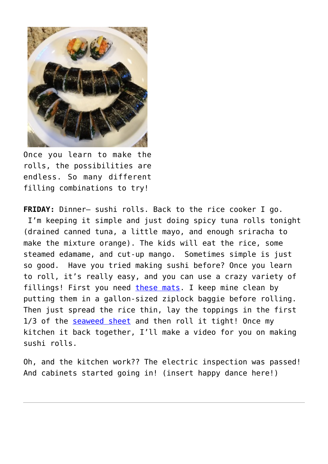

Once you learn to make the rolls, the possibilities are endless. So many different filling combinations to try!

**FRIDAY:** Dinner– sushi rolls. Back to the rice cooker I go. I'm keeping it simple and just doing spicy tuna rolls tonight (drained canned tuna, a little mayo, and enough sriracha to make the mixture orange). The kids will eat the rice, some steamed edamame, and cut-up mango. Sometimes simple is just so good. Have you tried making sushi before? Once you learn to roll, it's really easy, and you can use a crazy variety of fillings! First you need [these mats.](http://amzn.to/1QrxcwP) I keep mine clean by putting them in a gallon-sized ziplock baggie before rolling. Then just spread the rice thin, lay the toppings in the first 1/3 of the [seaweed sheet](http://amzn.to/1IWtfgO) and then roll it tight! Once my kitchen it back together, I'll make a video for you on making sushi rolls.

Oh, and the kitchen work?? The electric inspection was passed! And cabinets started going in! (insert happy dance here!)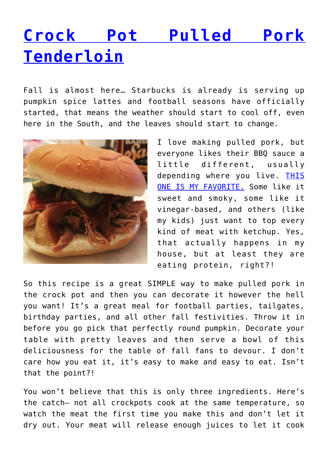# **[Crock Pot Pulled Pork](http://dinnerisacrock.com/2015/09/08/crock-pot-pulled-pork-tenderloin/) [Tenderloin](http://dinnerisacrock.com/2015/09/08/crock-pot-pulled-pork-tenderloin/)**

Fall is almost here… Starbucks is already is serving up pumpkin spice lattes and football seasons have officially started, that means the weather should start to cool off, even here in the South, and the leaves should start to change.



I love making pulled pork, but everyone likes their BBQ sauce a little different, usually depending where you live. [THIS](http://amzn.to/1Qn88U8) [ONE IS MY FAVORITE.](http://amzn.to/1Qn88U8) Some like it sweet and smoky, some like it vinegar-based, and others (like my kids) just want to top every kind of meat with ketchup. Yes, that actually happens in my house, but at least they are eating protein, right?!

So this recipe is a great SIMPLE way to make pulled pork in the crock pot and then you can decorate it however the hell you want! It's a great meal for football parties, tailgates, birthday parties, and all other fall festivities. Throw it in before you go pick that perfectly round pumpkin. Decorate your table with pretty leaves and then serve a bowl of this deliciousness for the table of fall fans to devour. I don't care how you eat it, it's easy to make and easy to eat. Isn't that the point?!

You won't believe that this is only three ingredients. Here's the catch– not all crockpots cook at the same temperature, so watch the meat the first time you make this and don't let it dry out. Your meat will release enough juices to let it cook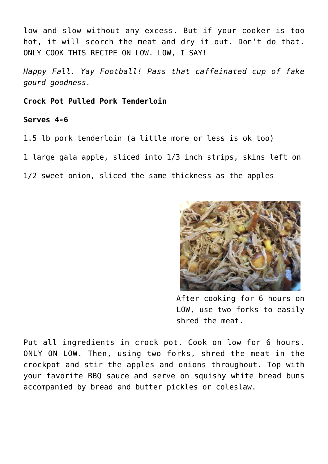low and slow without any excess. But if your cooker is too hot, it will scorch the meat and dry it out. Don't do that. ONLY COOK THIS RECIPE ON LOW. LOW, I SAY!

*Happy Fall. Yay Football! Pass that caffeinated cup of fake gourd goodness.*

**Crock Pot Pulled Pork Tenderloin**

#### **Serves 4-6**

1.5 lb pork tenderloin (a little more or less is ok too)

1 large gala apple, sliced into 1/3 inch strips, skins left on

1/2 sweet onion, sliced the same thickness as the apples



After cooking for 6 hours on LOW, use two forks to easily shred the meat.

Put all ingredients in crock pot. Cook on low for 6 hours. ONLY ON LOW. Then, using two forks, shred the meat in the crockpot and stir the apples and onions throughout. Top with your favorite BBQ sauce and serve on squishy white bread buns accompanied by bread and butter pickles or coleslaw.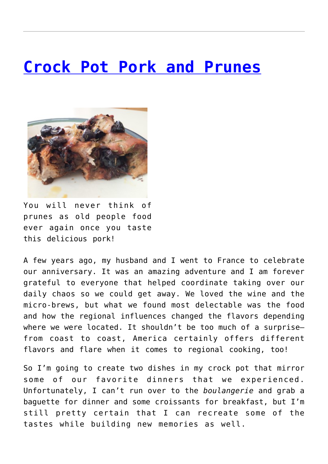#### **[Crock Pot Pork and Prunes](http://dinnerisacrock.com/2015/05/01/crock-pot-pork-and-prunes/)**



You will never think of prunes as old people food ever again once you taste this delicious pork!

A few years ago, my husband and I went to France to celebrate our anniversary. It was an amazing adventure and I am forever grateful to everyone that helped coordinate taking over our daily chaos so we could get away. We loved the wine and the micro-brews, but what we found most delectable was the food and how the regional influences changed the flavors depending where we were located. It shouldn't be too much of a surprise– from coast to coast, America certainly offers different flavors and flare when it comes to regional cooking, too!

So I'm going to create two dishes in my crock pot that mirror some of our favorite dinners that we experienced. Unfortunately, I can't run over to the *boulangerie* and grab a baguette for dinner and some croissants for breakfast, but I'm still pretty certain that I can recreate some of the tastes while building new memories as well.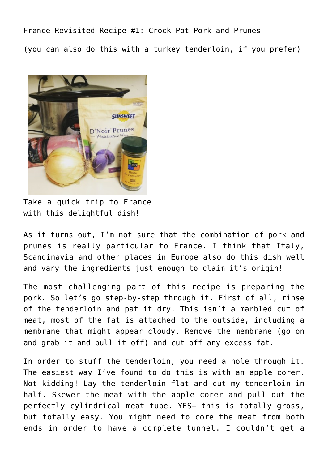France Revisited Recipe #1: Crock Pot Pork and Prunes (you can also do this with a turkey tenderloin, if you prefer)



Take a quick trip to France with this delightful dish!

As it turns out, I'm not sure that the combination of pork and prunes is really particular to France. I think that Italy, Scandinavia and other places in Europe also do this dish well and vary the ingredients just enough to claim it's origin!

The most challenging part of this recipe is preparing the pork. So let's go step-by-step through it. First of all, rinse of the tenderloin and pat it dry. This isn't a marbled cut of meat, most of the fat is attached to the outside, including a membrane that might appear cloudy. Remove the membrane (go on and grab it and pull it off) and cut off any excess fat.

In order to stuff the tenderloin, you need a hole through it. The easiest way I've found to do this is with an apple corer. Not kidding! Lay the tenderloin flat and cut my tenderloin in half. Skewer the meat with the apple corer and pull out the perfectly cylindrical meat tube. YES– this is totally gross, but totally easy. You might need to core the meat from both ends in order to have a complete tunnel. I couldn't get a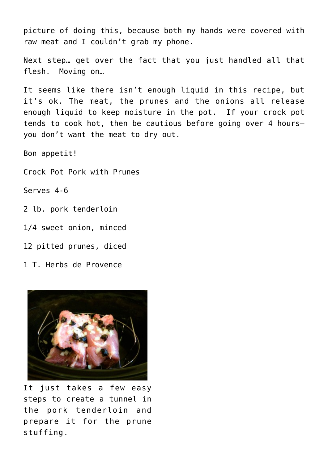picture of doing this, because both my hands were covered with raw meat and I couldn't grab my phone.

Next step… get over the fact that you just handled all that flesh. Moving on…

It seems like there isn't enough liquid in this recipe, but it's ok. The meat, the prunes and the onions all release enough liquid to keep moisture in the pot. If your crock pot tends to cook hot, then be cautious before going over 4 hours– you don't want the meat to dry out.

Bon appetit!

Crock Pot Pork with Prunes

Serves 4-6

2 lb. pork tenderloin

1/4 sweet onion, minced

12 pitted prunes, diced

1 T. Herbs de Provence



It just takes a few easy steps to create a tunnel in the pork tenderloin and prepare it for the prune stuffing.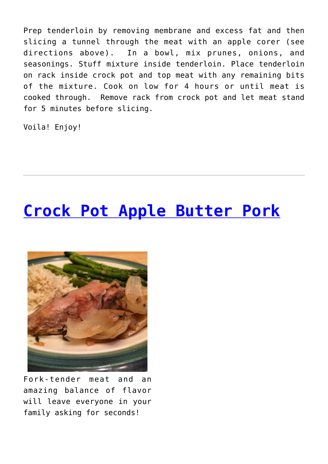Prep tenderloin by removing membrane and excess fat and then slicing a tunnel through the meat with an apple corer (see directions above). In a bowl, mix prunes, onions, and seasonings. Stuff mixture inside tenderloin. Place tenderloin on rack inside crock pot and top meat with any remaining bits of the mixture. Cook on low for 4 hours or until meat is cooked through. Remove rack from crock pot and let meat stand for 5 minutes before slicing.

Voila! Enjoy!

## **[Crock Pot Apple Butter Pork](http://dinnerisacrock.com/2015/03/11/crock-pot-apple-butter-pork/)**



Fork-tender meat and an amazing balance of flavor will leave everyone in your family asking for seconds!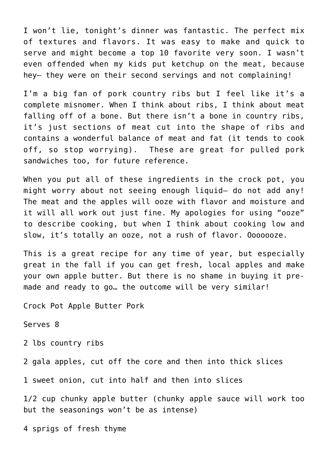I won't lie, tonight's dinner was fantastic. The perfect mix of textures and flavors. It was easy to make and quick to serve and might become a top 10 favorite very soon. I wasn't even offended when my kids put ketchup on the meat, because hey– they were on their second servings and not complaining!

I'm a big fan of pork country ribs but I feel like it's a complete misnomer. When I think about ribs, I think about meat falling off of a bone. But there isn't a bone in country ribs, it's just sections of meat cut into the shape of ribs and contains a wonderful balance of meat and fat (it tends to cook off, so stop worrying). These are great for pulled pork sandwiches too, for future reference.

When you put all of these ingredients in the crock pot, you might worry about not seeing enough liquid– do not add any! The meat and the apples will ooze with flavor and moisture and it will all work out just fine. My apologies for using "ooze" to describe cooking, but when I think about cooking low and slow, it's totally an ooze, not a rush of flavor. Ooooooze.

This is a great recipe for any time of year, but especially great in the fall if you can get fresh, local apples and make your own apple butter. But there is no shame in buying it premade and ready to go... the outcome will be very similar!

Crock Pot Apple Butter Pork

Serves 8

2 lbs country ribs

2 gala apples, cut off the core and then into thick slices

1 sweet onion, cut into half and then into slices

1/2 cup chunky apple butter (chunky apple sauce will work too but the seasonings won't be as intense)

4 sprigs of fresh thyme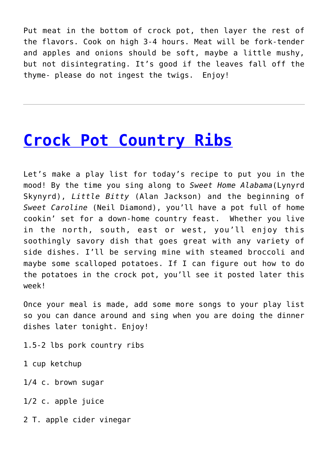Put meat in the bottom of crock pot, then layer the rest of the flavors. Cook on high 3-4 hours. Meat will be fork-tender and apples and onions should be soft, maybe a little mushy, but not disintegrating. It's good if the leaves fall off the thyme- please do not ingest the twigs. Enjoy!

### **[Crock Pot Country Ribs](http://dinnerisacrock.com/2010/05/11/crock-pot-country-ribs/)**

Let's make a play list for today's recipe to put you in the mood! By the time you sing along to *Sweet Home Alabama*(Lynyrd Skynyrd), *Little Bitty* (Alan Jackson) and the beginning of *Sweet Caroline* (Neil Diamond), you'll have a pot full of home cookin' set for a down-home country feast. Whether you live in the north, south, east or west, you'll enjoy this soothingly savory dish that goes great with any variety of side dishes. I'll be serving mine with steamed broccoli and maybe some scalloped potatoes. If I can figure out how to do the potatoes in the crock pot, you'll see it posted later this week!

Once your meal is made, add some more songs to your play list so you can dance around and sing when you are doing the dinner dishes later tonight. Enjoy!

1.5-2 lbs pork country ribs

1 cup ketchup

1/4 c. brown sugar

1/2 c. apple juice

2 T. apple cider vinegar